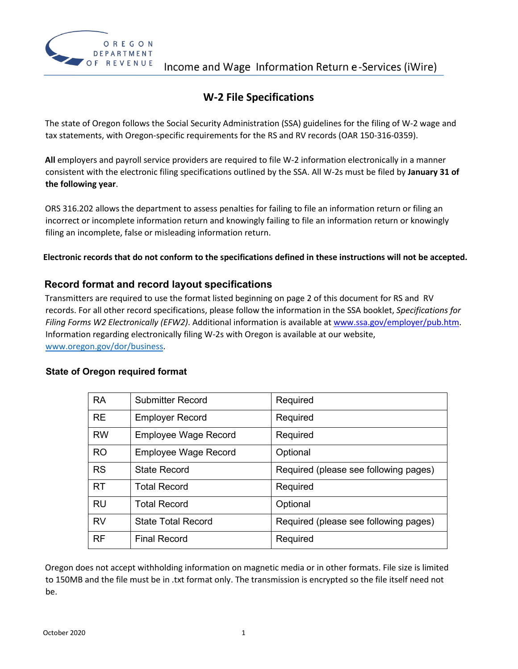

## **W-2 File Specifications**

The state of Oregon follows the Social Security Administration (SSA) guidelines for the filing of W-2 wage and tax statements, with Oregon-specific requirements for the RS and RV records (OAR 150-316-0359).

**All** employers and payroll service providers are required to file W-2 information electronically in a manner consistent with the electronic filing specifications outlined by the SSA. All W-2s must be filed by **January 31 of the following year**.

ORS 316.202 allows the department to assess penalties for failing to file an information return or filing an incorrect or incomplete information return and knowingly failing to file an information return or knowingly filing an incomplete, false or misleading information return.

**Electronic records that do not conform to the specifications defined in these instructions will not be accepted.** 

## **Record format and record layout specifications**

Transmitters are required to use the format listed beginning on page 2 of this document for RS and RV records. For all other record specifications, please follow the information in the SSA booklet, *Specifications for Filing Forms W2 Electronically (EFW2)*. Additional information is available at www.ssa.gov/employer/pub.htm. Information regarding electronically filing W-2s with Oregon is available at our website, [www.oregon.gov/dor/business.](https://www.oregon.gov/dor/business)

#### **State of Oregon required format**

| <b>RA</b> | <b>Submitter Record</b>     | Required                              |
|-----------|-----------------------------|---------------------------------------|
| <b>RE</b> | <b>Employer Record</b>      | Required                              |
| <b>RW</b> | <b>Employee Wage Record</b> | Required                              |
| <b>RO</b> | <b>Employee Wage Record</b> | Optional                              |
| <b>RS</b> | <b>State Record</b>         | Required (please see following pages) |
| <b>RT</b> | <b>Total Record</b>         | Required                              |
| <b>RU</b> | <b>Total Record</b>         | Optional                              |
| <b>RV</b> | <b>State Total Record</b>   | Required (please see following pages) |
| <b>RF</b> | <b>Final Record</b>         | Required                              |

Oregon does not accept withholding information on magnetic media or in other formats. File size is limited to 150MB and the file must be in .txt format only. The transmission is encrypted so the file itself need not be.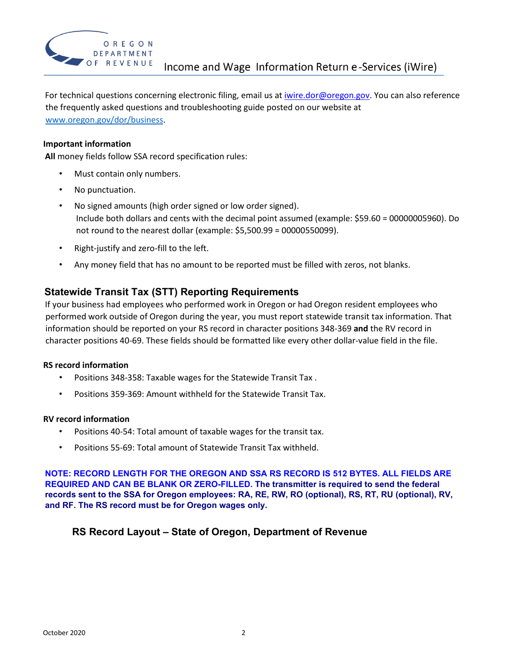

For technical questions concerning electronic filing, email us at iwire.dor@oregon.gov. You can also reference the frequently asked questions and troubleshooting guide posted on our website at [www.oregon.gov/dor/business.](https://www.oregon.gov/dor/business)

#### **Important information**

**All** money fields follow SSA record specification rules:

- Must contain only numbers.
- No punctuation.
- No signed amounts (high order signed or low order signed). Include both dollars and cents with the decimal point assumed (example: \$59.60 = 00000005960). Do not round to the nearest dollar (example: \$5,500.99 = 00000550099).
- Right-justify and zero-fill to the left.
- Any money field that has no amount to be reported must be filled with zeros, not blanks.

### **Statewide Transit Tax (STT) Reporting Requirements**

If your business had employees who performed work in Oregon or had Oregon resident employees who performed work outside of Oregon during the year, you must report statewide transit tax information. That information should be reported on your RS record in character positions 348-369 **and** the RV record in character positions 40-69. These fields should be formatted like every other dollar-value field in the file.

#### **RS record information**

- Positions 348-358: Taxable wages for the Statewide Transit Tax .
- Positions 359-369: Amount withheld for the Statewide Transit Tax.

#### **RV record information**

- Positions 40-54: Total amount of taxable wages for the transit tax.
- Positions 55-69: Total amount of Statewide Transit Tax withheld.

**NOTE: RECORD LENGTH FOR THE OREGON AND SSA RS RECORD IS 512 BYTES. ALL FIELDS ARE REQUIRED AND CAN BE BLANK OR ZERO-FILLED. The transmitter is required to send the federal records sent to the SSA for Oregon employees: RA, RE, RW, RO (optional), RS, RT, RU (optional), RV, and RF. The RS record must be for Oregon wages only.** 

## **RS Record Layout – State of Oregon, Department of Revenue**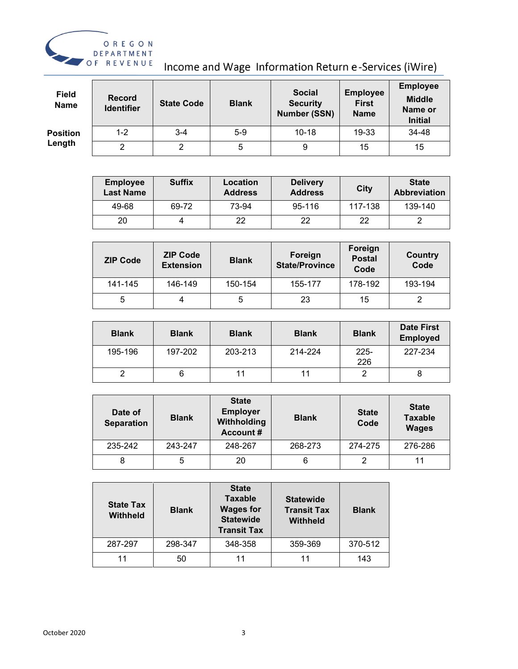

Income and Wage Information Return e-Services (iWire)

| <b>Field</b><br><b>Name</b> | <b>Record</b><br><b>Identifier</b> | <b>State Code</b> | <b>Blank</b> | <b>Social</b><br><b>Security</b><br><b>Number (SSN)</b> | <b>Employee</b><br><b>First</b><br><b>Name</b> | <b>Employee</b><br><b>Middle</b><br>Name or<br><b>Initial</b> |
|-----------------------------|------------------------------------|-------------------|--------------|---------------------------------------------------------|------------------------------------------------|---------------------------------------------------------------|
| <b>Position</b>             | $1 - 2$                            | $3 - 4$           | $5-9$        | $10 - 18$                                               | 19-33                                          | 34-48                                                         |
| Length                      | າ                                  | ∩                 | 5            | 9                                                       | 15                                             | 15                                                            |

| <b>Employee</b><br><b>Last Name</b> | <b>Suffix</b> | Location<br><b>Address</b> | <b>Delivery</b><br><b>Address</b> | City    | <b>State</b><br>Abbreviation |
|-------------------------------------|---------------|----------------------------|-----------------------------------|---------|------------------------------|
| 49-68                               | 69-72         | 73-94                      | 95-116                            | 117-138 | 139-140                      |
| 20                                  |               | つつ                         | 22                                | つつ      |                              |

| <b>ZIP Code</b> | <b>ZIP Code</b><br><b>Extension</b> | <b>Blank</b> | Foreign<br><b>State/Province</b> | Foreign<br><b>Postal</b><br>Code | Country<br>Code |
|-----------------|-------------------------------------|--------------|----------------------------------|----------------------------------|-----------------|
| 141-145         | 146-149                             | 150-154      | 155-177                          | 178-192                          | 193-194         |
| 5               | 4                                   |              | 23                               | 15                               | 2               |

| <b>Blank</b> | <b>Blank</b> | <b>Blank</b> | <b>Blank</b> | <b>Blank</b>   | <b>Date First</b><br><b>Employed</b> |
|--------------|--------------|--------------|--------------|----------------|--------------------------------------|
| 195-196      | 197-202      | 203-213      | 214-224      | $225 -$<br>226 | 227-234                              |
|              |              |              |              |                |                                      |

| Date of<br><b>Separation</b> | <b>Blank</b> | <b>State</b><br><b>Employer</b><br>Withholding<br><b>Account#</b> | <b>Blank</b> | <b>State</b><br>Code | <b>State</b><br><b>Taxable</b><br><b>Wages</b> |
|------------------------------|--------------|-------------------------------------------------------------------|--------------|----------------------|------------------------------------------------|
| 235-242                      | 243-247      | 248-267                                                           | 268-273      | 274-275              | 276-286                                        |
| 8                            | 5            | 20                                                                | 6            | ⌒                    | 11                                             |

| <b>State Tax</b><br><b>Withheld</b> | <b>Blank</b> | <b>State</b><br><b>Taxable</b><br><b>Wages for</b><br><b>Statewide</b><br><b>Transit Tax</b> | <b>Statewide</b><br><b>Transit Tax</b><br><b>Withheld</b> | <b>Blank</b> |
|-------------------------------------|--------------|----------------------------------------------------------------------------------------------|-----------------------------------------------------------|--------------|
| 287-297                             | 298-347      | 348-358                                                                                      | 359-369                                                   | 370-512      |
|                                     | 50           |                                                                                              |                                                           | 143          |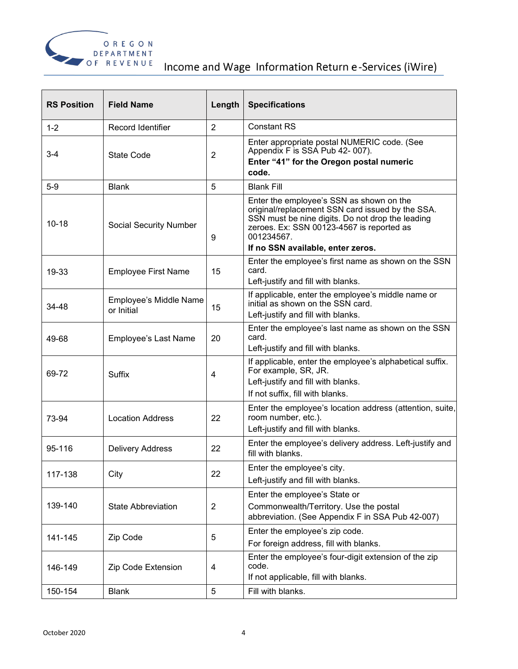

| <b>RS Position</b> | <b>Field Name</b>                    | Length         | <b>Specifications</b>                                                                                                                                                                                       |
|--------------------|--------------------------------------|----------------|-------------------------------------------------------------------------------------------------------------------------------------------------------------------------------------------------------------|
| $1 - 2$            | Record Identifier                    | $\overline{2}$ | <b>Constant RS</b>                                                                                                                                                                                          |
| $3 - 4$            | State Code                           | $\overline{2}$ | Enter appropriate postal NUMERIC code. (See<br>Appendix F is SSA Pub 42-007).<br>Enter "41" for the Oregon postal numeric<br>code.                                                                          |
| $5-9$              | <b>Blank</b>                         | 5              | <b>Blank Fill</b>                                                                                                                                                                                           |
| $10 - 18$          | Social Security Number               | 9              | Enter the employee's SSN as shown on the<br>original/replacement SSN card issued by the SSA.<br>SSN must be nine digits. Do not drop the leading<br>zeroes. Ex: SSN 00123-4567 is reported as<br>001234567. |
|                    |                                      |                | If no SSN available, enter zeros.                                                                                                                                                                           |
| 19-33              | <b>Employee First Name</b>           | 15             | Enter the employee's first name as shown on the SSN<br>card.<br>Left-justify and fill with blanks.                                                                                                          |
| 34-48              | Employee's Middle Name<br>or Initial | 15             | If applicable, enter the employee's middle name or<br>initial as shown on the SSN card.<br>Left-justify and fill with blanks.                                                                               |
| 49-68              | Employee's Last Name                 | 20             | Enter the employee's last name as shown on the SSN<br>card.<br>Left-justify and fill with blanks.                                                                                                           |
| 69-72              | <b>Suffix</b>                        | 4              | If applicable, enter the employee's alphabetical suffix.<br>For example, SR, JR.<br>Left-justify and fill with blanks.<br>If not suffix, fill with blanks.                                                  |
| 73-94              | <b>Location Address</b>              | 22             | Enter the employee's location address (attention, suite,<br>room number, etc.).<br>Left-justify and fill with blanks.                                                                                       |
| 95-116             | <b>Delivery Address</b>              | 22             | Enter the employee's delivery address. Left-justify and<br>fill with blanks.                                                                                                                                |
| 117-138            | City                                 | 22             | Enter the employee's city.<br>Left-justify and fill with blanks.                                                                                                                                            |
| 139-140            | <b>State Abbreviation</b>            | $\overline{2}$ | Enter the employee's State or<br>Commonwealth/Territory. Use the postal<br>abbreviation. (See Appendix F in SSA Pub 42-007)                                                                                 |
| 141-145            | Zip Code                             | 5              | Enter the employee's zip code.<br>For foreign address, fill with blanks.                                                                                                                                    |
| 146-149            | Zip Code Extension                   | 4              | Enter the employee's four-digit extension of the zip<br>code.<br>If not applicable, fill with blanks.                                                                                                       |
| 150-154            | <b>Blank</b>                         | 5              | Fill with blanks.                                                                                                                                                                                           |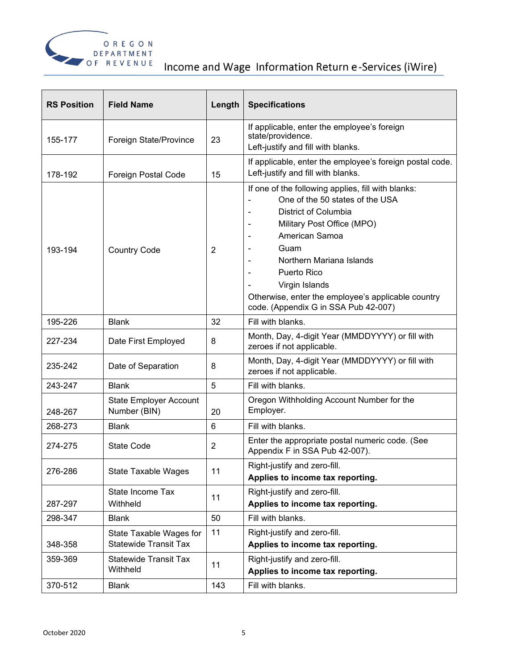

| <b>RS Position</b> | <b>Field Name</b>                                       | Length         | <b>Specifications</b>                                                                                                                                                                                                                                                                                                                                     |
|--------------------|---------------------------------------------------------|----------------|-----------------------------------------------------------------------------------------------------------------------------------------------------------------------------------------------------------------------------------------------------------------------------------------------------------------------------------------------------------|
| 155-177            | Foreign State/Province                                  | 23             | If applicable, enter the employee's foreign<br>state/providence.<br>Left-justify and fill with blanks.                                                                                                                                                                                                                                                    |
| 178-192            | Foreign Postal Code                                     | 15             | If applicable, enter the employee's foreign postal code.<br>Left-justify and fill with blanks.                                                                                                                                                                                                                                                            |
| 193-194            | <b>Country Code</b>                                     | $\overline{2}$ | If one of the following applies, fill with blanks:<br>One of the 50 states of the USA<br>District of Columbia<br>Military Post Office (MPO)<br>$\blacksquare$<br>American Samoa<br>Guam<br>Northern Mariana Islands<br><b>Puerto Rico</b><br>Virgin Islands<br>Otherwise, enter the employee's applicable country<br>code. (Appendix G in SSA Pub 42-007) |
| 195-226            | <b>Blank</b>                                            | 32             | Fill with blanks.                                                                                                                                                                                                                                                                                                                                         |
| 227-234            | Date First Employed                                     | 8              | Month, Day, 4-digit Year (MMDDYYYY) or fill with<br>zeroes if not applicable.                                                                                                                                                                                                                                                                             |
| 235-242            | Date of Separation                                      | 8              | Month, Day, 4-digit Year (MMDDYYYY) or fill with<br>zeroes if not applicable.                                                                                                                                                                                                                                                                             |
| 243-247            | <b>Blank</b>                                            | 5              | Fill with blanks.                                                                                                                                                                                                                                                                                                                                         |
| 248-267            | <b>State Employer Account</b><br>Number (BIN)           | 20             | Oregon Withholding Account Number for the<br>Employer.                                                                                                                                                                                                                                                                                                    |
| 268-273            | <b>Blank</b>                                            | 6              | Fill with blanks.                                                                                                                                                                                                                                                                                                                                         |
| 274-275            | <b>State Code</b>                                       | 2              | Enter the appropriate postal numeric code. (See<br>Appendix F in SSA Pub 42-007).                                                                                                                                                                                                                                                                         |
| 276-286            | State Taxable Wages                                     | 11             | Right-justify and zero-fill.<br>Applies to income tax reporting.                                                                                                                                                                                                                                                                                          |
| 287-297            | State Income Tax<br>Withheld                            | 11             | Right-justify and zero-fill.<br>Applies to income tax reporting.                                                                                                                                                                                                                                                                                          |
| 298-347            | <b>Blank</b>                                            | 50             | Fill with blanks.                                                                                                                                                                                                                                                                                                                                         |
| 348-358            | State Taxable Wages for<br><b>Statewide Transit Tax</b> | 11             | Right-justify and zero-fill.<br>Applies to income tax reporting.                                                                                                                                                                                                                                                                                          |
| 359-369            | <b>Statewide Transit Tax</b><br>Withheld                | 11             | Right-justify and zero-fill.<br>Applies to income tax reporting.                                                                                                                                                                                                                                                                                          |
| 370-512            | <b>Blank</b>                                            | 143            | Fill with blanks.                                                                                                                                                                                                                                                                                                                                         |